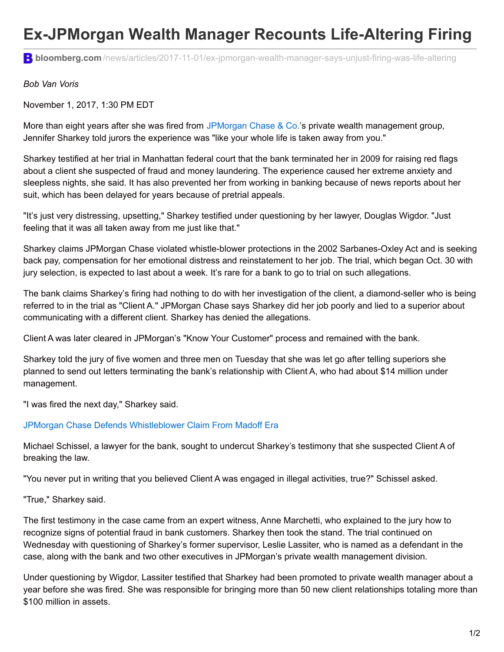## **Ex-JPMorgan Wealth Manager Recounts Life-Altering Firing**

**bloomberg.com** [/news/articles/2017-11-01/ex-jpmorgan-wealth-manager-says-unjust-firing-was-life-altering](https://www.bloomberg.com/news/articles/2017-11-01/ex-jpmorgan-wealth-manager-says-unjust-firing-was-life-altering)

## *Bob Van Voris*

November 1, 2017, 1:30 PM EDT

More than eight years after she was fired from [JPMorgan](https://www.bloomberg.com/quote/JPM:US) Chase & Co.'s private wealth management group, Jennifer Sharkey told jurors the experience was "like your whole life is taken away from you."

Sharkey testified at her trial in Manhattan federal court that the bank terminated her in 2009 for raising red flags about a client she suspected of fraud and money laundering. The experience caused her extreme anxiety and sleepless nights, she said. It has also prevented her from working in banking because of news reports about her suit, which has been delayed for years because of pretrial appeals.

"It's just very distressing, upsetting," Sharkey testified under questioning by her lawyer, Douglas Wigdor. "Just feeling that it was all taken away from me just like that."

Sharkey claims JPMorgan Chase violated whistle-blower protections in the 2002 Sarbanes-Oxley Act and is seeking back pay, compensation for her emotional distress and reinstatement to her job. The trial, which began Oct. 30 with jury selection, is expected to last about a week. It's rare for a bank to go to trial on such allegations.

The bank claims Sharkey's firing had nothing to do with her investigation of the client, a diamond-seller who is being referred to in the trial as "Client A." JPMorgan Chase says Sharkey did her job poorly and lied to a superior about communicating with a different client. Sharkey has denied the allegations.

Client A was later cleared in JPMorgan's "Know Your Customer" process and remained with the bank.

Sharkey told the jury of five women and three men on Tuesday that she was let go after telling superiors she planned to send out letters terminating the bank's relationship with Client A, who had about \$14 million under management.

"I was fired the next day," Sharkey said.

## JPMorgan Chase Defends [Whistleblower](https://www.bloomberg.com/news/articles/2017-10-30/jpmorgan-chase-defends-whistle-blower-claim-from-madoff-era) Claim From Madoff Era

Michael Schissel, a lawyer for the bank, sought to undercut Sharkey's testimony that she suspected Client A of breaking the law.

"You never put in writing that you believed Client A was engaged in illegal activities, true?" Schissel asked.

"True," Sharkey said.

The first testimony in the case came from an expert witness, Anne Marchetti, who explained to the jury how to recognize signs of potential fraud in bank customers. Sharkey then took the stand. The trial continued on Wednesday with questioning of Sharkey's former supervisor, Leslie Lassiter, who is named as a defendant in the case, along with the bank and two other executives in JPMorgan's private wealth management division.

Under questioning by Wigdor, Lassiter testified that Sharkey had been promoted to private wealth manager about a year before she was fired. She was responsible for bringing more than 50 new client relationships totaling more than \$100 million in assets.